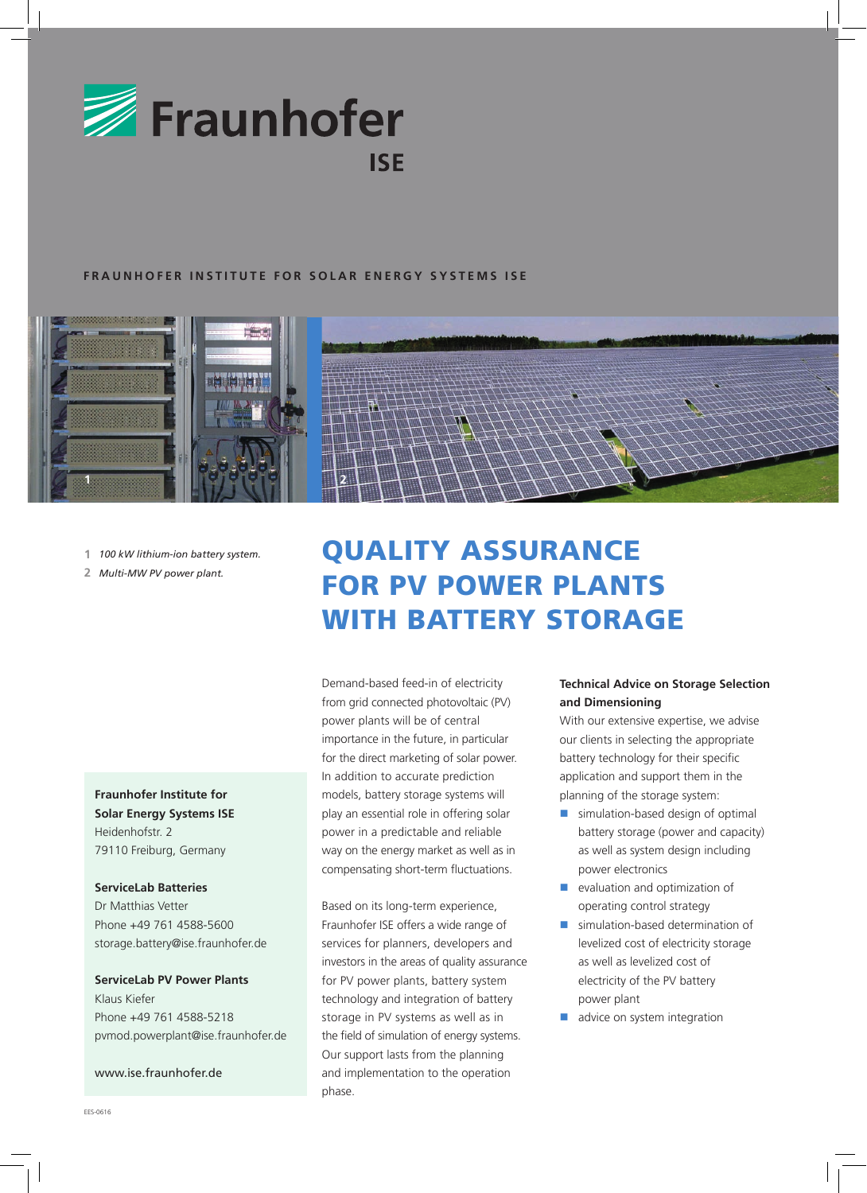

## **FRAUNHOFER INSTITUTE FOR SOLAR ENERGY SYSTEMS ISE**



- **1** *100 kW lithium-ion battery system.*
- **2** *Multi-MW PV power plant.*

**Fraunhofer Institute for Solar Energy Systems ISE** Heidenhofstr. 2 79110 Freiburg, Germany

### **ServiceLab Batteries**

Dr Matthias Vetter Phone +49 761 4588-5600 storage.battery@ise.fraunhofer.de

**ServiceLab PV Power Plants** Klaus Kiefer Phone +49 761 4588-5218 pvmod.powerplant@ise.fraunhofer.de

## www.ise.fraunhofer.de

# QUALITY ASSURANCE FOR PV POWER PLANTS WITH BATTERY STORAGE

Demand-based feed-in of electricity from grid connected photovoltaic (PV) power plants will be of central importance in the future, in particular for the direct marketing of solar power. In addition to accurate prediction models, battery storage systems will play an essential role in offering solar power in a predictable and reliable way on the energy market as well as in compensating short-term fluctuations.

Based on its long-term experience, Fraunhofer ISE offers a wide range of services for planners, developers and investors in the areas of quality assurance for PV power plants, battery system technology and integration of battery storage in PV systems as well as in the field of simulation of energy systems. Our support lasts from the planning and implementation to the operation phase.

# **Technical Advice on Storage Selection and Dimensioning**

With our extensive expertise, we advise our clients in selecting the appropriate battery technology for their specific application and support them in the planning of the storage system:

- simulation-based design of optimal battery storage (power and capacity) as well as system design including power electronics
- evaluation and optimization of operating control strategy
- simulation-based determination of levelized cost of electricity storage as well as levelized cost of electricity of the PV battery power plant
- advice on system integration